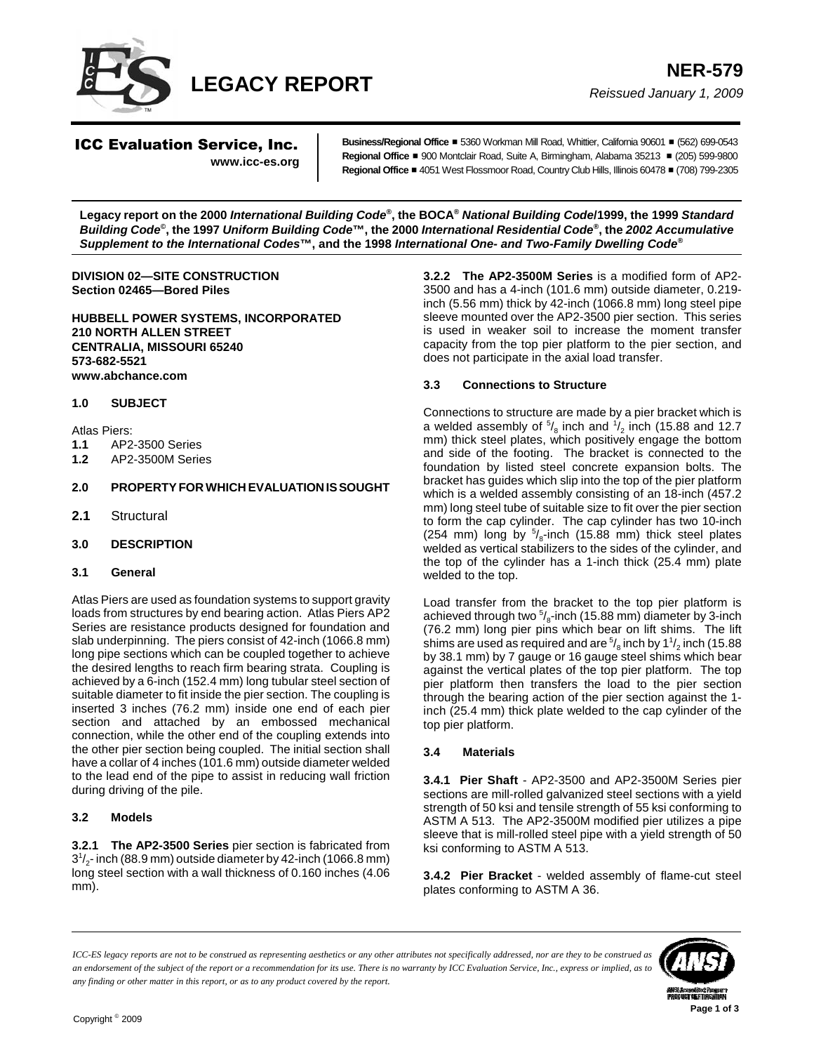

ICC Evaluation Service, Inc. **www.icc-es.org** Business/Regional Office = 5360 Workman Mill Road, Whittier, California 90601 = (562) 699-0543 **Regional Office ■ 900 Montclair Road, Suite A, Birmingham, Alabama 35213 ■ (205) 599-9800 Regional Office** # 4051 West Flossmoor Road, Country Club Hills, Illinois 60478 # (708) 799-2305

**Legacy report on the 2000** *International Building Code***®, the BOCA®** *National Building Code***/1999, the 1999** *Standard Building Code***©, the 1997** *Uniform Building Code***™, the 2000** *International Residential Code***®, the** *2002 Accumulative Supplement to the International Codes***™, and the 1998** *International One- and Two-Family Dwelling Code***®**

**DIVISION 02—SITE CONSTRUCTION Section 02465—Bored Piles**

**HUBBELL POWER SYSTEMS, INCORPORATED 210 NORTH ALLEN STREET CENTRALIA, MISSOURI 65240 573-682-5521 www.abchance.com**

#### **1.0 SUBJECT**

Atlas Piers:

- **1.1** AP2-3500 Series
- **1.2** AP2-3500M Series

## **2.0 PROPERTY FOR WHICH EVALUATION IS SOUGHT**

- **2.1** Structural
- **3.0 DESCRIPTION**
- **3.1 General**

Atlas Piers are used as foundation systems to support gravity loads from structures by end bearing action. Atlas Piers AP2 Series are resistance products designed for foundation and slab underpinning. The piers consist of 42-inch (1066.8 mm) long pipe sections which can be coupled together to achieve the desired lengths to reach firm bearing strata. Coupling is achieved by a 6-inch (152.4 mm) long tubular steel section of suitable diameter to fit inside the pier section. The coupling is inserted 3 inches (76.2 mm) inside one end of each pier section and attached by an embossed mechanical connection, while the other end of the coupling extends into the other pier section being coupled. The initial section shall have a collar of 4 inches (101.6 mm) outside diameter welded to the lead end of the pipe to assist in reducing wall friction during driving of the pile.

#### **3.2 Models**

**3.2.1 The AP2-3500 Series** pier section is fabricated from  $3<sup>1</sup>/<sub>2</sub>$ - inch (88.9 mm) outside diameter by 42-inch (1066.8 mm) long steel section with a wall thickness of 0.160 inches (4.06 mm).

**3.2.2 The AP2-3500M Series** is a modified form of AP2- 3500 and has a 4-inch (101.6 mm) outside diameter, 0.219 inch (5.56 mm) thick by 42-inch (1066.8 mm) long steel pipe sleeve mounted over the AP2-3500 pier section. This series is used in weaker soil to increase the moment transfer capacity from the top pier platform to the pier section, and does not participate in the axial load transfer.

#### **3.3 Connections to Structure**

Connections to structure are made by a pier bracket which is a welded assembly of  $\frac{5}{8}$  inch and  $\frac{1}{2}$  inch (15.88 and 12.7 mm) thick steel plates, which positively engage the bottom and side of the footing. The bracket is connected to the foundation by listed steel concrete expansion bolts. The bracket has guides which slip into the top of the pier platform which is a welded assembly consisting of an 18-inch (457.2 mm) long steel tube of suitable size to fit over the pier section to form the cap cylinder. The cap cylinder has two 10-inch (254 mm) long by  $5/8$ -inch (15.88 mm) thick steel plates welded as vertical stabilizers to the sides of the cylinder, and the top of the cylinder has a 1-inch thick (25.4 mm) plate welded to the top.

Load transfer from the bracket to the top pier platform is achieved through two  $\frac{5}{8}$ -inch (15.88 mm) diameter by 3-inch (76.2 mm) long pier pins which bear on lift shims. The lift shims are used as required and are  $\frac{5}{8}$  inch by 1 $\frac{1}{2}$  inch (15.88 by 38.1 mm) by 7 gauge or 16 gauge steel shims which bear against the vertical plates of the top pier platform. The top pier platform then transfers the load to the pier section through the bearing action of the pier section against the 1 inch (25.4 mm) thick plate welded to the cap cylinder of the top pier platform.

## **3.4 Materials**

**3.4.1 Pier Shaft** - AP2-3500 and AP2-3500M Series pier sections are mill-rolled galvanized steel sections with a yield strength of 50 ksi and tensile strength of 55 ksi conforming to ASTM A 513. The AP2-3500M modified pier utilizes a pipe sleeve that is mill-rolled steel pipe with a yield strength of 50 ksi conforming to ASTM A 513.

**3.4.2 Pier Bracket** - welded assembly of flame-cut steel plates conforming to ASTM A 36.

*ICC-ES legacy reports are not to be construed as representing aesthetics or any other attributes not specifically addressed, nor are they to be construed as an endorsement of the subject of the report or a recommendation for its use. There is no warranty by ICC Evaluation Service, Inc., express or implied, as to any finding or other matter in this report, or as to any product covered by the report.*

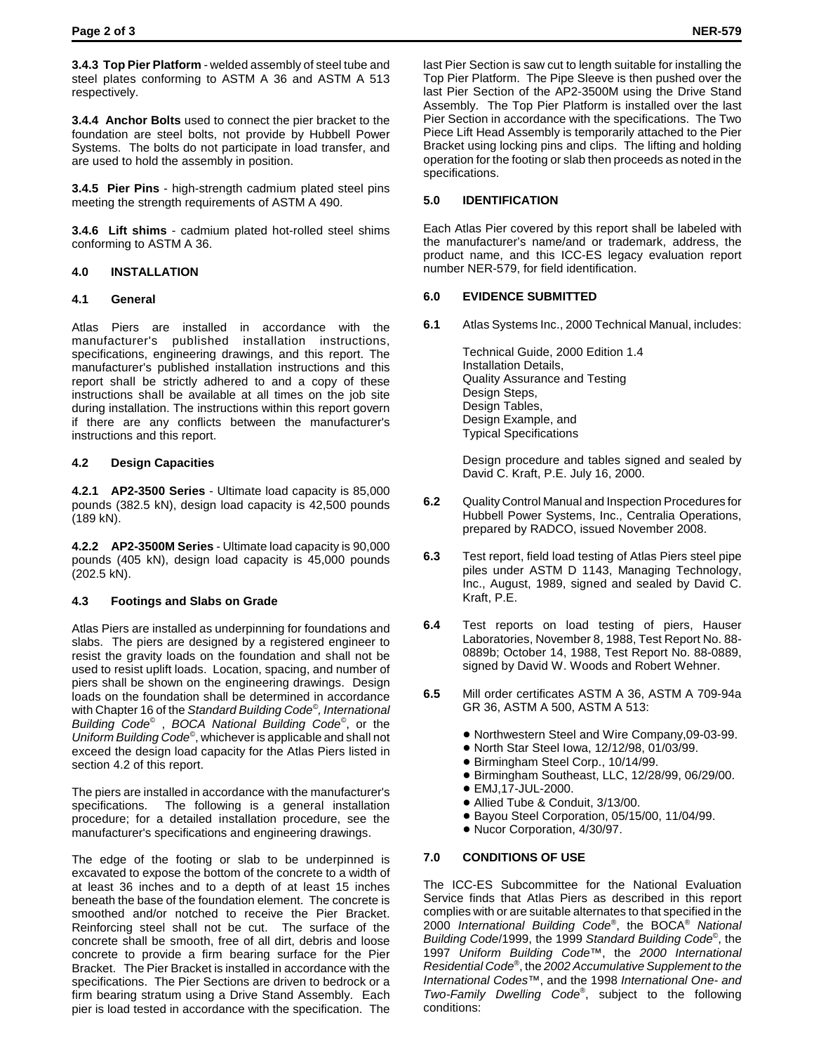**3.4.3 Top Pier Platform** - welded assembly of steel tube and steel plates conforming to ASTM A 36 and ASTM A 513 respectively.

**3.4.4 Anchor Bolts** used to connect the pier bracket to the foundation are steel bolts, not provide by Hubbell Power Systems. The bolts do not participate in load transfer, and are used to hold the assembly in position.

**3.4.5 Pier Pins** - high-strength cadmium plated steel pins meeting the strength requirements of ASTM A 490.

**3.4.6 Lift shims** - cadmium plated hot-rolled steel shims conforming to ASTM A 36.

## **4.0 INSTALLATION**

#### **4.1 General**

Atlas Piers are installed in accordance with the manufacturer's published installation instructions, specifications, engineering drawings, and this report. The manufacturer's published installation instructions and this report shall be strictly adhered to and a copy of these instructions shall be available at all times on the job site during installation. The instructions within this report govern if there are any conflicts between the manufacturer's instructions and this report.

## **4.2 Design Capacities**

**4.2.1 AP2-3500 Series** - Ultimate load capacity is 85,000 pounds (382.5 kN), design load capacity is 42,500 pounds (189 kN).

**4.2.2 AP2-3500M Series** - Ultimate load capacity is 90,000 pounds (405 kN), design load capacity is 45,000 pounds (202.5 kN).

# **4.3 Footings and Slabs on Grade**

Atlas Piers are installed as underpinning for foundations and slabs. The piers are designed by a registered engineer to resist the gravity loads on the foundation and shall not be used to resist uplift loads. Location, spacing, and number of piers shall be shown on the engineering drawings. Design loads on the foundation shall be determined in accordance with Chapter 16 of the *Standard Building Code©, International Building Code©* , *BOCA National Building Code©*, or the *Uniform Building Code©*, whichever is applicable and shall not exceed the design load capacity for the Atlas Piers listed in section 4.2 of this report.

The piers are installed in accordance with the manufacturer's specifications. The following is a general installation procedure; for a detailed installation procedure, see the manufacturer's specifications and engineering drawings.

The edge of the footing or slab to be underpinned is excavated to expose the bottom of the concrete to a width of at least 36 inches and to a depth of at least 15 inches beneath the base of the foundation element. The concrete is smoothed and/or notched to receive the Pier Bracket. Reinforcing steel shall not be cut. The surface of the concrete shall be smooth, free of all dirt, debris and loose concrete to provide a firm bearing surface for the Pier Bracket. The Pier Bracket is installed in accordance with the specifications. The Pier Sections are driven to bedrock or a firm bearing stratum using a Drive Stand Assembly. Each pier is load tested in accordance with the specification. The last Pier Section is saw cut to length suitable for installing the Top Pier Platform. The Pipe Sleeve is then pushed over the last Pier Section of the AP2-3500M using the Drive Stand Assembly. The Top Pier Platform is installed over the last Pier Section in accordance with the specifications. The Two Piece Lift Head Assembly is temporarily attached to the Pier Bracket using locking pins and clips. The lifting and holding operation for the footing or slab then proceeds as noted in the specifications.

# **5.0 IDENTIFICATION**

Each Atlas Pier covered by this report shall be labeled with the manufacturer's name/and or trademark, address, the product name, and this ICC-ES legacy evaluation report number NER-579, for field identification.

## **6.0 EVIDENCE SUBMITTED**

**6.1** Atlas Systems Inc., 2000 Technical Manual, includes:

Technical Guide, 2000 Edition 1.4 Installation Details, Quality Assurance and Testing Design Steps, Design Tables, Design Example, and Typical Specifications

Design procedure and tables signed and sealed by David C. Kraft, P.E. July 16, 2000.

- **6.2** Quality Control Manual and Inspection Procedures for Hubbell Power Systems, Inc., Centralia Operations, prepared by RADCO, issued November 2008.
- **6.3** Test report, field load testing of Atlas Piers steel pipe piles under ASTM D 1143, Managing Technology, Inc., August, 1989, signed and sealed by David C. Kraft, P.E.
- **6.4** Test reports on load testing of piers, Hauser Laboratories, November 8, 1988, Test Report No. 88- 0889b; October 14, 1988, Test Report No. 88-0889, signed by David W. Woods and Robert Wehner.
- **6.5** Mill order certificates ASTM A 36, ASTM A 709-94a GR 36, ASTM A 500, ASTM A 513:
	- ! Northwestern Steel and Wire Company,09-03-99.
	- ! North Star Steel Iowa, 12/12/98, 01/03/99.
	- Birmingham Steel Corp., 10/14/99.
	- ! Birmingham Southeast, LLC, 12/28/99, 06/29/00.
	- EMJ,17-JUL-2000.
	- Allied Tube & Conduit, 3/13/00.
	- ! Bayou Steel Corporation, 05/15/00, 11/04/99.
	- ! Nucor Corporation, 4/30/97.

# **7.0 CONDITIONS OF USE**

The ICC-ES Subcommittee for the National Evaluation Service finds that Atlas Piers as described in this report complies with or are suitable alternates to that specified in the 2000 *International Building Code*®, the BOCA® *National Building Code*/1999, the 1999 *Standard Building Code*©, the 1997 *Uniform Building Code*™, the *2000 International Residential Code*®, the *2002 Accumulative Supplement to the International Codes*™, and the 1998 *International One- and Two-Family Dwelling Code*®, subject to the following conditions: